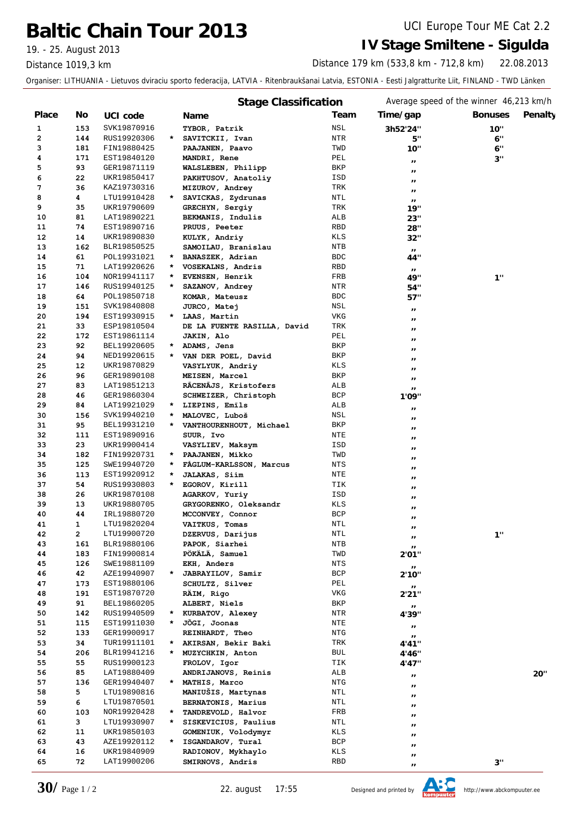# **Baltic Chain Tour 2013** UCI Europe Tour ME Cat 2.2

Distance 1019,3 km

### 19. - 25. August 2013 **IV Stage Smiltene - Sigulda**

22.08.2013 Distance 179 km (533,8 km - 712,8 km)

Organiser: LITHUANIA - Lietuvos dviraciu sporto federacija, LATVIA - Ritenbraukšanai Latvia, ESTONIA - Eesti Jalgratturite Liit, FINLAND - TWD Länken

|       |                |             |         | <b>Stage Classification</b> |            |                           | Average speed of the winner 46,213 km/h |
|-------|----------------|-------------|---------|-----------------------------|------------|---------------------------|-----------------------------------------|
| Place | No             | UCI code    |         | Name                        | Team       | Time/gap                  | <b>Bonuses</b><br>Penalty               |
| 1     | 153            | SVK19870916 |         | TYBOR, Patrik               | NSL        | 3h52'24"                  | 10"                                     |
| 2     | 144            | RUS19920306 | $\star$ | SAVITCKII, Ivan             | NTR        | 5"                        | 6"                                      |
| 3     | 181            | FIN19880425 |         | PAAJANEN, Paavo             | TWD        | 10"                       | 6"                                      |
| 4     | 171            | EST19840120 |         | MANDRI, Rene                | PEL        | $\pmb{\cdot}$             | 3"                                      |
| 5     | 93             | GER19871119 |         | WALSLEBEN, Philipp          | BKP        | $\pmb{\scriptstyle{II}}$  |                                         |
| 6     | 22             | UKR19850417 |         | PAKHTUSOV, Anatoliy         | ISD        | $\blacksquare$            |                                         |
| 7     | 36             | KAZ19730316 |         | MIZUROV, Andrey             | TRK        | $\pmb{\cdot}$             |                                         |
| 8     | 4              | LTU19910428 | $\star$ | SAVICKAS, Zydrunas          | NTL        | $\mathbf{H}$              |                                         |
| 9     | 35             | UKR19790609 |         | GRECHYN, Sergiy             | TRK        | 19"                       |                                         |
| 10    | 81             | LAT19890221 |         | BEKMANIS, Indulis           | ALB        | 23"                       |                                         |
| 11    | 74             | EST19890716 |         | PRUUS, Peeter               | RBD        | 28"                       |                                         |
| 12    | 14             | UKR19890830 |         | KULYK, Andriy               | KLS        | 32"                       |                                         |
| 13    | 162            | BLR19850525 |         | SAMOILAU, Branislau         | NTB        | $\boldsymbol{\mathsf{H}}$ |                                         |
| 14    | 61             | POL19931021 | $\star$ | BANASZEK, Adrian            | <b>BDC</b> | 44"                       |                                         |
| 15    | 71             | LAT19920626 | $\star$ | VOSEKALNS, Andris           | RBD        | $\boldsymbol{\mu}$        |                                         |
| 16    | 104            | NOR19941117 | *       | EVENSEN, Henrik             | FRB        | 49"                       | 1"                                      |
| 17    | 146            | RUS19940125 | *       | SAZANOV, Andrey             | NTR        | 54"                       |                                         |
| 18    | 64             | POL19850718 |         | KOMAR, Mateusz              | <b>BDC</b> | 57"                       |                                         |
| 19    | 151            | SVK19840808 |         | JURCO, Matej                | NSL        | $\pmb{\mathcal{H}}$       |                                         |
| 20    | 194            | EST19930915 |         | * LAAS, Martin              | <b>VKG</b> | $\blacksquare$            |                                         |
| 21    | 33             | ESP19810504 |         | DE LA FUENTE RASILLA, David | TRK        | $\blacksquare$            |                                         |
| 22    | 172            | EST19861114 |         | JAKIN, Alo                  | PEL        | $\pmb{\mathsf{I}}$        |                                         |
| 23    | 92             | BEL19920605 | $\star$ | ADAMS, Jens                 | BKP        | $^{\prime}$               |                                         |
| 24    | 94             | NED19920615 | $\star$ | VAN DER POEL, David         | BKP        | $^{\prime}$               |                                         |
| 25    | 12             | UKR19870829 |         | VASYLYUK, Andriy            | KLS        | $^{\prime}$               |                                         |
| 26    | 96             | GER19890108 |         | MEISEN, Marcel              | BKP        | $\pmb{\scriptstyle{II}}$  |                                         |
| 27    | 83             | LAT19851213 |         | RĀCENĀJS, Kristofers        | ALB        | $^{\prime\prime}$         |                                         |
| 28    | 46             | GER19860304 |         | SCHWEIZER, Christoph        | <b>BCP</b> | 1'09''                    |                                         |
| 29    | 84             | LAT19921029 |         | * LIEPINS, Emils            | ALB        | $\pmb{\mathcal{H}}$       |                                         |
| 30    | 156            | SVK19940210 | $\star$ | MALOVEC, Luboš              | NSL        | $^{\prime}$               |                                         |
| 31    | 95             | BEL19931210 | *       | VANTHOURENHOUT, Michael     | BKP        | $^{\prime}$               |                                         |
| 32    | 111            | EST19890916 |         | SUUR, Ivo                   | NTE        | $^{\prime}$               |                                         |
| 33    | 23             | UKR19900414 |         | VASYLIEV, Maksym            | ISD        | $^{\prime}$               |                                         |
| 34    | 182            | FIN19920731 | $\star$ | PAAJANEN, Mikko             | TWD        | $^{\prime}$               |                                         |
| 35    | 125            | SWE19940720 | *       | FAGLUM-KARLSSON, Marcus     | NTS        | $^{\prime}$               |                                         |
| 36    | 113            | EST19920912 | $\star$ | <b>JALAKAS, Siim</b>        | NTE        | $^{\prime\prime}$         |                                         |
| 37    | 54             | RUS19930803 | $\star$ | EGOROV, Kirill              | TIK        | $^{\prime\prime}$         |                                         |
| 38    | 26             | UKR19870108 |         | AGARKOV, Yuriy              | ISD        | $\blacksquare$            |                                         |
| 39    | 13             | UKR19880705 |         | GRYGORENKO, Oleksandr       | KLS        | $^{\prime}$               |                                         |
| 40    | 44             | IRL19880720 |         | MCCONVEY, Connor            | <b>BCP</b> | $\pmb{\mathsf{I}}$        |                                         |
| 41    | 1              | LTU19820204 |         | VAITKUS, Tomas              | NTL        | $^{\prime\prime}$         |                                         |
| 42    | $\overline{2}$ | LTU19900720 |         | DZERVUS, Darijus            | NTL        | $\boldsymbol{\mu}$        | 1"                                      |
| 43    | 161            | BLR19880106 |         | PAPOK, Siarhei              | NTB        | $\boldsymbol{\mu}$        |                                         |
| 44    | 183            | FIN19900814 |         | PÖKÄLÄ, Samuel              | TWD        | 2'01"                     |                                         |
| 45    | 126            | SWE19881109 |         | EKH, Anders                 | <b>NTS</b> | $\mathbf{H}$              |                                         |
| 46    | 42             | AZE19940907 |         | JABRAYILOV, Samir           | BCP        | 2'10"                     |                                         |
| 47    | 173            | EST19880106 |         | SCHULTZ, Silver             | PEL        | $\mathbf{H}$              |                                         |
| 48    | 191            | EST19870720 |         | RÄIM, Rigo                  | VKG        | 2'21"                     |                                         |
| 49    | 91             | BEL19860205 |         | ALBERT, Niels               | BKP        | $\boldsymbol{\mu}$        |                                         |
| 50    | 142            | RUS19940509 | $\star$ | KURBATOV, Alexey            | NTR        | 4'39"                     |                                         |
| 51    | 115            | EST19911030 | *       | JÕGI, Joonas                | NTE        | $\boldsymbol{\mu}$        |                                         |
| 52    | 133            | GER19900917 |         | REINHARDT, Theo             | NTG        | $\boldsymbol{\mu}$        |                                         |
| 53    | 34             | TUR19911101 | $\star$ | AKIRSAN, Bekir Baki         | TRK        | 4'41''                    |                                         |
| 54    | 206            | BLR19941216 | *       | MUZYCHKIN, Anton            | BUL        | 4'46''                    |                                         |
| 55    | 55             | RUS19900123 |         | FROLOV, Igor                | TIK        | 4'47''                    |                                         |
| 56    | 85             | LAT19880409 |         | ANDRIJANOVS, Reinis         | ALB        | $^{\prime}$               | 20"                                     |
| 57    | 136            | GER19940407 | $\star$ | MATHIS, Marco               | NTG        | $\pmb{\mathcal{L}}$       |                                         |
| 58    | 5              | LTU19890816 |         | MANIUŠIS, Martynas          | NTL        | $\pmb{\mathcal{H}}$       |                                         |
| 59    | 6              | LTU19870501 |         | BERNATONIS, Marius          | NTL        | $\pmb{\mathcal{H}}$       |                                         |
| 60    | 103            | NOR19920428 | $\star$ | TANDREVOLD, Halvor          | FRB        | $\pmb{\mathcal{H}}$       |                                         |
| 61    | 3              | LTU19930907 | *       | SISKEVICIUS, Paulius        | NTL        | $\pmb{\scriptstyle{II}}$  |                                         |
| 62    | 11             | UKR19850103 |         | GOMENIUK, Volodymyr         | KLS        | $\pmb{\scriptstyle{II}}$  |                                         |
| 63    | 43             | AZE19920112 | $\star$ | ISGANDAROV, Tural           | BCP        | $\pmb{\mathcal{H}}$       |                                         |
| 64    | 16             | UKR19840909 |         | RADIONOV, Mykhaylo          | KLS        | $\pmb{\mathcal{H}}$       |                                         |
| 65    | 72             | LAT19900206 |         | SMIRNOVS, Andris            | RBD        | $\pmb{\scriptstyle{II}}$  | 3"                                      |